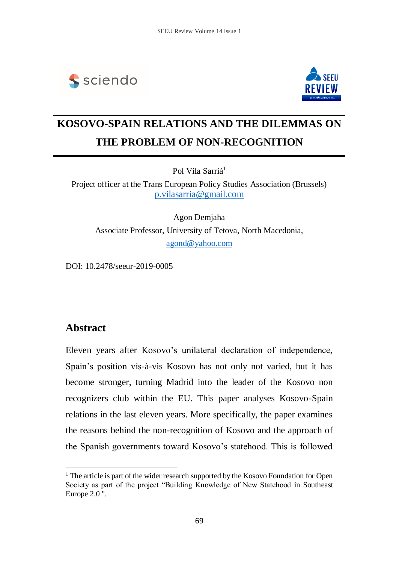



# **KOSOVO-SPAIN RELATIONS AND THE DILEMMAS ON THE PROBLEM OF NON-RECOGNITION**

Pol Vila Sarriá<sup>1</sup>

Project officer at the Trans European Policy Studies Association (Brussels) [p.vilasarria@gmail.com](mailto:p.vilasarria@gmail.com)

Agon Demjaha Associate Professor, University of Tetova, North Macedonia, [agond@yahoo.com](mailto:agond@yahoo.com)

DOI: 10.2478/seeur-2019-0005

### **Abstract**

 $\overline{a}$ 

Eleven years after Kosovo's unilateral declaration of independence, Spain's position vis-à-vis Kosovo has not only not varied, but it has become stronger, turning Madrid into the leader of the Kosovo non recognizers club within the EU. This paper analyses Kosovo-Spain relations in the last eleven years. More specifically, the paper examines the reasons behind the non-recognition of Kosovo and the approach of the Spanish governments toward Kosovo's statehood. This is followed

<sup>&</sup>lt;sup>1</sup> The article is part of the wider research supported by the Kosovo Foundation for Open Society as part of the project "Building Knowledge of New Statehood in Southeast Europe 2.0 ".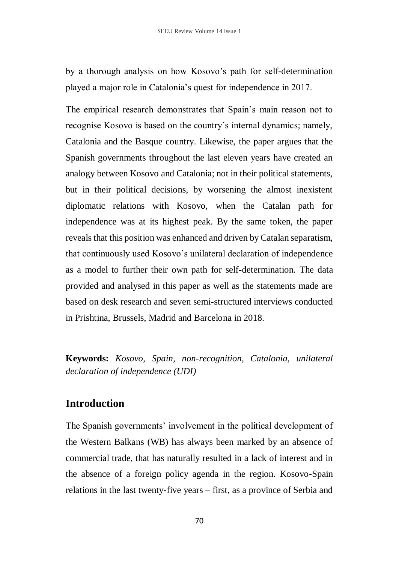by a thorough analysis on how Kosovo's path for self-determination played a major role in Catalonia's quest for independence in 2017.

The empirical research demonstrates that Spain's main reason not to recognise Kosovo is based on the country's internal dynamics; namely, Catalonia and the Basque country. Likewise, the paper argues that the Spanish governments throughout the last eleven years have created an analogy between Kosovo and Catalonia; not in their political statements, but in their political decisions, by worsening the almost inexistent diplomatic relations with Kosovo, when the Catalan path for independence was at its highest peak. By the same token, the paper reveals that this position was enhanced and driven by Catalan separatism, that continuously used Kosovo's unilateral declaration of independence as a model to further their own path for self-determination. The data provided and analysed in this paper as well as the statements made are based on desk research and seven semi-structured interviews conducted in Prishtina, Brussels, Madrid and Barcelona in 2018.

**Keywords:** *Kosovo, Spain, non-recognition, Catalonia, unilateral declaration of independence (UDI)*

### **Introduction**

The Spanish governments' involvement in the political development of the Western Balkans (WB) has always been marked by an absence of commercial trade, that has naturally resulted in a lack of interest and in the absence of a foreign policy agenda in the region. Kosovo-Spain relations in the last twenty-five years – first, as a province of Serbia and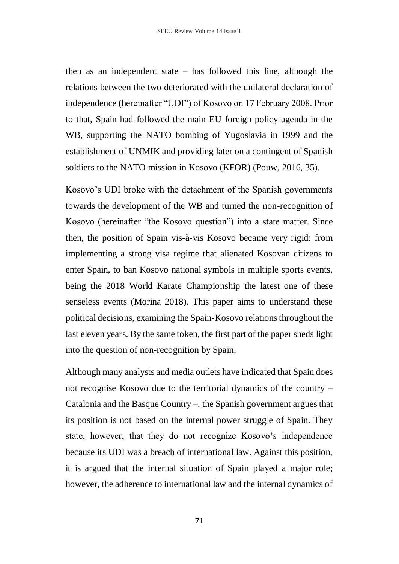then as an independent state – has followed this line, although the relations between the two deteriorated with the unilateral declaration of independence (hereinafter "UDI") of Kosovo on 17 February 2008. Prior to that, Spain had followed the main EU foreign policy agenda in the WB, supporting the NATO bombing of Yugoslavia in 1999 and the establishment of UNMIK and providing later on a contingent of Spanish soldiers to the NATO mission in Kosovo (KFOR) (Pouw, 2016, 35).

Kosovo's UDI broke with the detachment of the Spanish governments towards the development of the WB and turned the non-recognition of Kosovo (hereinafter "the Kosovo question") into a state matter. Since then, the position of Spain vis-à-vis Kosovo became very rigid: from implementing a strong visa regime that alienated Kosovan citizens to enter Spain, to ban Kosovo national symbols in multiple sports events, being the 2018 World Karate Championship the latest one of these senseless events (Morina 2018). This paper aims to understand these political decisions, examining the Spain-Kosovo relations throughout the last eleven years. By the same token, the first part of the paper sheds light into the question of non-recognition by Spain.

Although many analysts and media outlets have indicated that Spain does not recognise Kosovo due to the territorial dynamics of the country – Catalonia and the Basque Country –, the Spanish government argues that its position is not based on the internal power struggle of Spain. They state, however, that they do not recognize Kosovo's independence because its UDI was a breach of international law. Against this position, it is argued that the internal situation of Spain played a major role; however, the adherence to international law and the internal dynamics of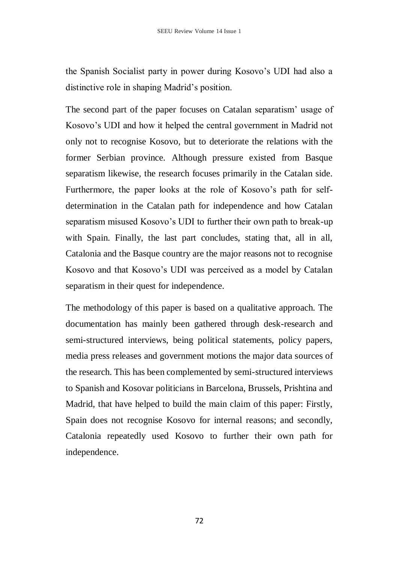the Spanish Socialist party in power during Kosovo's UDI had also a distinctive role in shaping Madrid's position.

The second part of the paper focuses on Catalan separatism' usage of Kosovo's UDI and how it helped the central government in Madrid not only not to recognise Kosovo, but to deteriorate the relations with the former Serbian province. Although pressure existed from Basque separatism likewise, the research focuses primarily in the Catalan side. Furthermore, the paper looks at the role of Kosovo's path for selfdetermination in the Catalan path for independence and how Catalan separatism misused Kosovo's UDI to further their own path to break-up with Spain. Finally, the last part concludes, stating that, all in all, Catalonia and the Basque country are the major reasons not to recognise Kosovo and that Kosovo's UDI was perceived as a model by Catalan separatism in their quest for independence.

The methodology of this paper is based on a qualitative approach. The documentation has mainly been gathered through desk-research and semi-structured interviews, being political statements, policy papers, media press releases and government motions the major data sources of the research. This has been complemented by semi-structured interviews to Spanish and Kosovar politicians in Barcelona, Brussels, Prishtina and Madrid, that have helped to build the main claim of this paper: Firstly, Spain does not recognise Kosovo for internal reasons; and secondly, Catalonia repeatedly used Kosovo to further their own path for independence.

72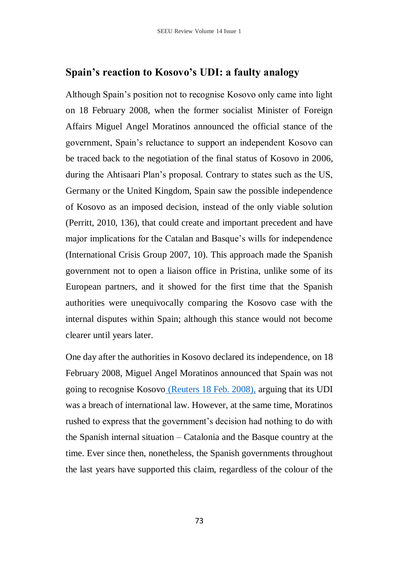## **Spain's reaction to Kosovo's UDI: a faulty analogy**

Although Spain's position not to recognise Kosovo only came into light on 18 February 2008, when the former socialist Minister of Foreign Affairs Miguel Angel Moratinos announced the official stance of the government, Spain's reluctance to support an independent Kosovo can be traced back to the negotiation of the final status of Kosovo in 2006, during the Ahtisaari Plan's proposal. Contrary to states such as the US, Germany or the United Kingdom, Spain saw the possible independence of Kosovo as an imposed decision, instead of the only viable solution (Perritt, 2010, 136), that could create and important precedent and have major implications for the Catalan and Basque's wills for independence (International Crisis Group 2007, 10). This approach made the Spanish government not to open a liaison office in Pristina, unlike some of its European partners, and it showed for the first time that the Spanish authorities were unequivocally comparing the Kosovo case with the internal disputes within Spain; although this stance would not become clearer until years later.

One day after the authorities in Kosovo declared its independence, on 18 February 2008, Miguel Angel Moratinos announced that Spain was not going to recognise Kosovo (Reuters 18 Feb. 2008), arguing that its UDI was a breach of international law. However, at the same time, Moratinos rushed to express that the government's decision had nothing to do with the Spanish internal situation – Catalonia and the Basque country at the time. Ever since then, nonetheless, the Spanish governments throughout the last years have supported this claim, regardless of the colour of the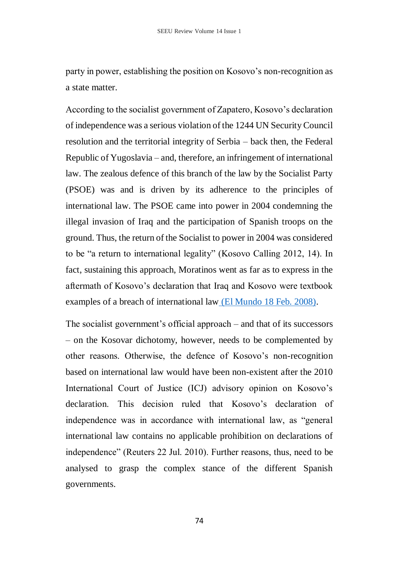party in power, establishing the position on Kosovo's non-recognition as a state matter.

According to the socialist government of Zapatero, Kosovo's declaration of independence was a serious violation of the 1244 UN Security Council resolution and the territorial integrity of Serbia – back then, the Federal Republic of Yugoslavia – and, therefore, an infringement of international law. The zealous defence of this branch of the law by the Socialist Party (PSOE) was and is driven by its adherence to the principles of international law. The PSOE came into power in 2004 condemning the illegal invasion of Iraq and the participation of Spanish troops on the ground. Thus, the return of the Socialist to power in 2004 was considered to be "a return to international legality" (Kosovo Calling 2012, 14). In fact, sustaining this approach, Moratinos went as far as to express in the aftermath of Kosovo's declaration that Iraq and Kosovo were textbook examples of a breach of international law (El Mundo 18 Feb. 2008).

The socialist government's official approach – and that of its successors – on the Kosovar dichotomy, however, needs to be complemented by other reasons. Otherwise, the defence of Kosovo's non-recognition based on international law would have been non-existent after the 2010 International Court of Justice (ICJ) advisory opinion on Kosovo's declaration. This decision ruled that Kosovo's declaration of independence was in accordance with international law, as "general international law contains no applicable prohibition on declarations of independence" (Reuters 22 Jul. 2010). Further reasons, thus, need to be analysed to grasp the complex stance of the different Spanish governments.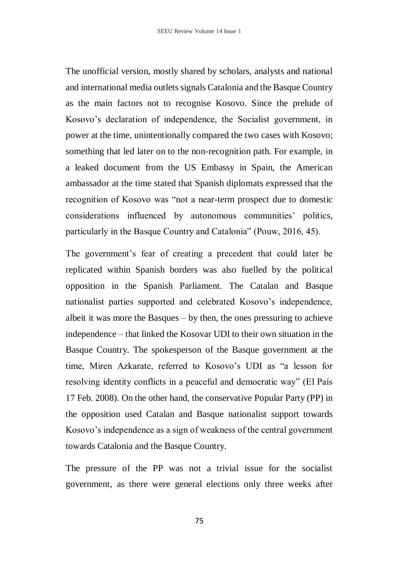The unofficial version, mostly shared by scholars, analysts and national and international media outlets signals Catalonia and the Basque Country as the main factors not to recognise Kosovo. Since the prelude of Kosovo's declaration of independence, the Socialist government, in power at the time, unintentionally compared the two cases with Kosovo; something that led later on to the non-recognition path. For example, in a leaked document from the US Embassy in Spain, the American ambassador at the time stated that Spanish diplomats expressed that the recognition of Kosovo was "not a near-term prospect due to domestic considerations influenced by autonomous communities' politics, particularly in the Basque Country and Catalonia" (Pouw, 2016, 45).

The government's fear of creating a precedent that could later be replicated within Spanish borders was also fuelled by the political opposition in the Spanish Parliament. The Catalan and Basque nationalist parties supported and celebrated Kosovo's independence, albeit it was more the Basques – by then, the ones pressuring to achieve independence – that linked the Kosovar UDI to their own situation in the Basque Country. The spokesperson of the Basque government at the time, Miren Azkarate, referred to Kosovo's UDI as "a lesson for resolving identity conflicts in a peaceful and democratic way" (El País 17 Feb. 2008). On the other hand, the conservative Popular Party (PP) in the opposition used Catalan and Basque nationalist support towards Kosovo's independence as a sign of weakness of the central government towards Catalonia and the Basque Country.

The pressure of the PP was not a trivial issue for the socialist government, as there were general elections only three weeks after

75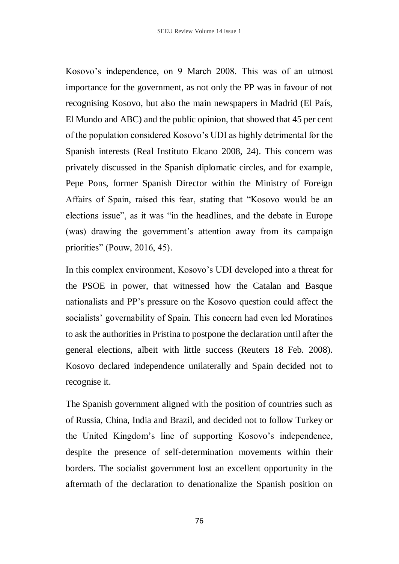Kosovo's independence, on 9 March 2008. This was of an utmost importance for the government, as not only the PP was in favour of not recognising Kosovo, but also the main newspapers in Madrid (El País, El Mundo and ABC) and the public opinion, that showed that 45 per cent of the population considered Kosovo's UDI as highly detrimental for the Spanish interests (Real Instituto Elcano 2008, 24). This concern was privately discussed in the Spanish diplomatic circles, and for example, Pepe Pons, former Spanish Director within the Ministry of Foreign Affairs of Spain, raised this fear, stating that "Kosovo would be an elections issue", as it was "in the headlines, and the debate in Europe (was) drawing the government's attention away from its campaign priorities" (Pouw, 2016, 45).

In this complex environment, Kosovo's UDI developed into a threat for the PSOE in power, that witnessed how the Catalan and Basque nationalists and PP's pressure on the Kosovo question could affect the socialists' governability of Spain. This concern had even led Moratinos to ask the authorities in Pristina to postpone the declaration until after the general elections, albeit with little success (Reuters 18 Feb. 2008). Kosovo declared independence unilaterally and Spain decided not to recognise it.

The Spanish government aligned with the position of countries such as of Russia, China, India and Brazil, and decided not to follow Turkey or the United Kingdom's line of supporting Kosovo's independence, despite the presence of self-determination movements within their borders. The socialist government lost an excellent opportunity in the aftermath of the declaration to denationalize the Spanish position on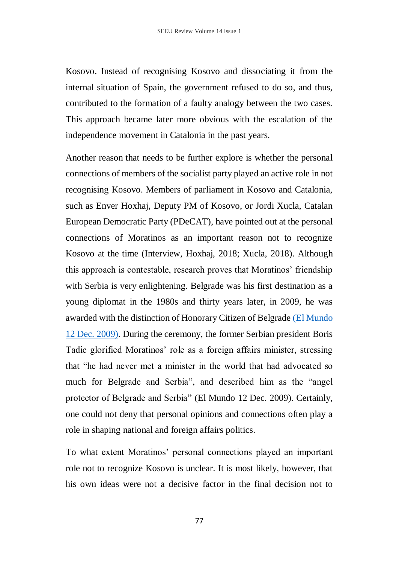Kosovo. Instead of recognising Kosovo and dissociating it from the internal situation of Spain, the government refused to do so, and thus, contributed to the formation of a faulty analogy between the two cases. This approach became later more obvious with the escalation of the independence movement in Catalonia in the past years.

Another reason that needs to be further explore is whether the personal connections of members of the socialist party played an active role in not recognising Kosovo. Members of parliament in Kosovo and Catalonia, such as Enver Hoxhaj, Deputy PM of Kosovo, or Jordi Xucla, Catalan European Democratic Party (PDeCAT), have pointed out at the personal connections of Moratinos as an important reason not to recognize Kosovo at the time (Interview, Hoxhaj, 2018; Xucla, 2018). Although this approach is contestable, research proves that Moratinos' friendship with Serbia is very enlightening. Belgrade was his first destination as a young diplomat in the 1980s and thirty years later, in 2009, he was awarded with the distinction of Honorary Citizen of Belgrade (El Mundo 12 Dec. 2009). During the ceremony, the former Serbian president Boris Tadic glorified Moratinos' role as a foreign affairs minister, stressing that "he had never met a minister in the world that had advocated so much for Belgrade and Serbia", and described him as the "angel protector of Belgrade and Serbia" (El Mundo 12 Dec. 2009). Certainly, one could not deny that personal opinions and connections often play a role in shaping national and foreign affairs politics.

To what extent Moratinos' personal connections played an important role not to recognize Kosovo is unclear. It is most likely, however, that his own ideas were not a decisive factor in the final decision not to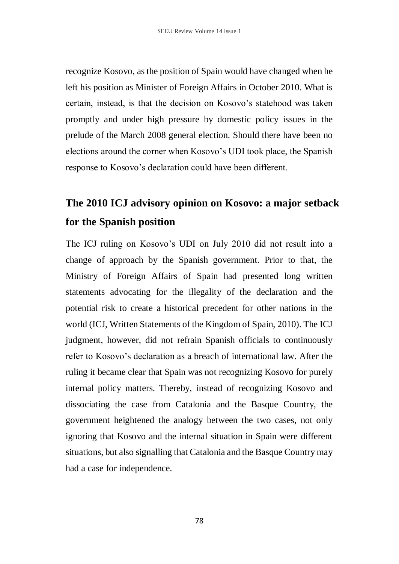recognize Kosovo, as the position of Spain would have changed when he left his position as Minister of Foreign Affairs in October 2010. What is certain, instead, is that the decision on Kosovo's statehood was taken promptly and under high pressure by domestic policy issues in the prelude of the March 2008 general election. Should there have been no elections around the corner when Kosovo's UDI took place, the Spanish response to Kosovo's declaration could have been different.

## **The 2010 ICJ advisory opinion on Kosovo: a major setback for the Spanish position**

The ICJ ruling on Kosovo's UDI on July 2010 did not result into a change of approach by the Spanish government. Prior to that, the Ministry of Foreign Affairs of Spain had presented long written statements advocating for the illegality of the declaration and the potential risk to create a historical precedent for other nations in the world (ICJ, Written Statements of the Kingdom of Spain, 2010). The ICJ judgment, however, did not refrain Spanish officials to continuously refer to Kosovo's declaration as a breach of international law. After the ruling it became clear that Spain was not recognizing Kosovo for purely internal policy matters. Thereby, instead of recognizing Kosovo and dissociating the case from Catalonia and the Basque Country, the government heightened the analogy between the two cases, not only ignoring that Kosovo and the internal situation in Spain were different situations, but also signalling that Catalonia and the Basque Country may had a case for independence.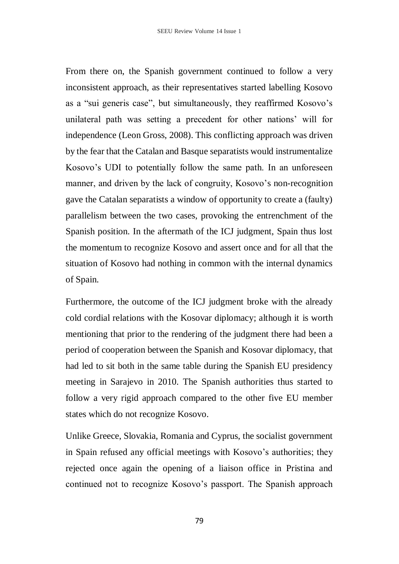From there on, the Spanish government continued to follow a very inconsistent approach, as their representatives started labelling Kosovo as a "sui generis case", but simultaneously, they reaffirmed Kosovo's unilateral path was setting a precedent for other nations' will for independence (Leon Gross, 2008). This conflicting approach was driven by the fear that the Catalan and Basque separatists would instrumentalize Kosovo's UDI to potentially follow the same path. In an unforeseen manner, and driven by the lack of congruity, Kosovo's non-recognition gave the Catalan separatists a window of opportunity to create a (faulty) parallelism between the two cases, provoking the entrenchment of the Spanish position. In the aftermath of the ICJ judgment, Spain thus lost the momentum to recognize Kosovo and assert once and for all that the situation of Kosovo had nothing in common with the internal dynamics of Spain.

Furthermore, the outcome of the ICJ judgment broke with the already cold cordial relations with the Kosovar diplomacy; although it is worth mentioning that prior to the rendering of the judgment there had been a period of cooperation between the Spanish and Kosovar diplomacy, that had led to sit both in the same table during the Spanish EU presidency meeting in Sarajevo in 2010. The Spanish authorities thus started to follow a very rigid approach compared to the other five EU member states which do not recognize Kosovo.

Unlike Greece, Slovakia, Romania and Cyprus, the socialist government in Spain refused any official meetings with Kosovo's authorities; they rejected once again the opening of a liaison office in Pristina and continued not to recognize Kosovo's passport. The Spanish approach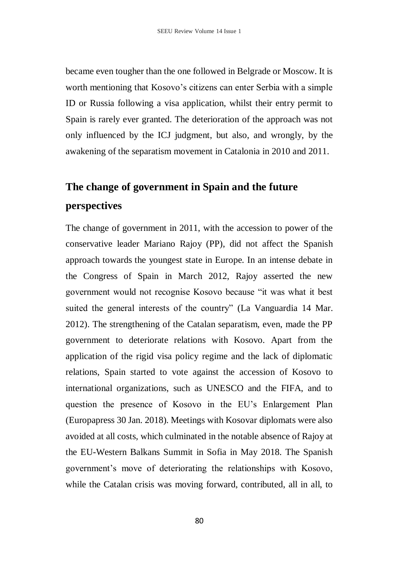became even tougher than the one followed in Belgrade or Moscow. It is worth mentioning that Kosovo's citizens can enter Serbia with a simple ID or Russia following a visa application, whilst their entry permit to Spain is rarely ever granted. The deterioration of the approach was not only influenced by the ICJ judgment, but also, and wrongly, by the awakening of the separatism movement in Catalonia in 2010 and 2011.

## **The change of government in Spain and the future perspectives**

The change of government in 2011, with the accession to power of the conservative leader Mariano Rajoy (PP), did not affect the Spanish approach towards the youngest state in Europe. In an intense debate in the Congress of Spain in March 2012, Rajoy asserted the new government would not recognise Kosovo because "it was what it best suited the general interests of the country" (La Vanguardia 14 Mar. 2012). The strengthening of the Catalan separatism, even, made the PP government to deteriorate relations with Kosovo. Apart from the application of the rigid visa policy regime and the lack of diplomatic relations, Spain started to vote against the accession of Kosovo to international organizations, such as UNESCO and the FIFA, and to question the presence of Kosovo in the EU's Enlargement Plan (Europapress 30 Jan. 2018). Meetings with Kosovar diplomats were also avoided at all costs, which culminated in the notable absence of Rajoy at the EU-Western Balkans Summit in Sofia in May 2018. The Spanish government's move of deteriorating the relationships with Kosovo, while the Catalan crisis was moving forward, contributed, all in all, to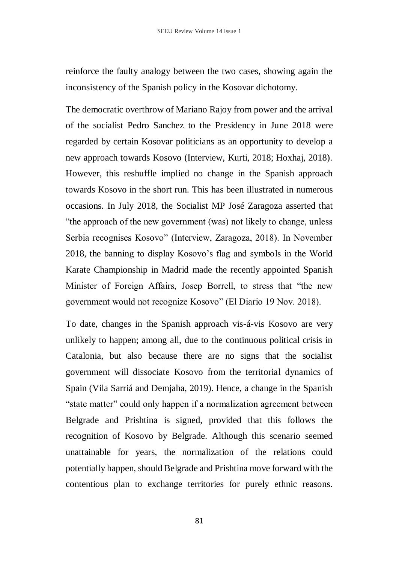reinforce the faulty analogy between the two cases, showing again the inconsistency of the Spanish policy in the Kosovar dichotomy.

The democratic overthrow of Mariano Rajoy from power and the arrival of the socialist Pedro Sanchez to the Presidency in June 2018 were regarded by certain Kosovar politicians as an opportunity to develop a new approach towards Kosovo (Interview, Kurti, 2018; Hoxhaj, 2018). However, this reshuffle implied no change in the Spanish approach towards Kosovo in the short run. This has been illustrated in numerous occasions. In July 2018, the Socialist MP José Zaragoza asserted that "the approach of the new government (was) not likely to change, unless Serbia recognises Kosovo" (Interview, Zaragoza, 2018). In November 2018, the banning to display Kosovo's flag and symbols in the World Karate Championship in Madrid made the recently appointed Spanish Minister of Foreign Affairs, Josep Borrell, to stress that "the new government would not recognize Kosovo" (El Diario 19 Nov. 2018).

To date, changes in the Spanish approach vis-á-vis Kosovo are very unlikely to happen; among all, due to the continuous political crisis in Catalonia, but also because there are no signs that the socialist government will dissociate Kosovo from the territorial dynamics of Spain (Vila Sarriá and Demjaha, 2019). Hence, a change in the Spanish "state matter" could only happen if a normalization agreement between Belgrade and Prishtina is signed, provided that this follows the recognition of Kosovo by Belgrade. Although this scenario seemed unattainable for years, the normalization of the relations could potentially happen, should Belgrade and Prishtina move forward with the contentious plan to exchange territories for purely ethnic reasons.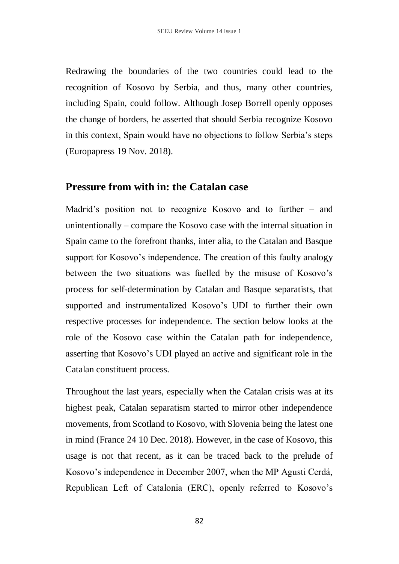Redrawing the boundaries of the two countries could lead to the recognition of Kosovo by Serbia, and thus, many other countries, including Spain, could follow. Although Josep Borrell openly opposes the change of borders, he asserted that should Serbia recognize Kosovo in this context, Spain would have no objections to follow Serbia's steps (Europapress 19 Nov. 2018).

#### **Pressure from with in: the Catalan case**

Madrid's position not to recognize Kosovo and to further – and unintentionally – compare the Kosovo case with the internal situation in Spain came to the forefront thanks, inter alia, to the Catalan and Basque support for Kosovo's independence. The creation of this faulty analogy between the two situations was fuelled by the misuse of Kosovo's process for self-determination by Catalan and Basque separatists, that supported and instrumentalized Kosovo's UDI to further their own respective processes for independence. The section below looks at the role of the Kosovo case within the Catalan path for independence, asserting that Kosovo's UDI played an active and significant role in the Catalan constituent process.

Throughout the last years, especially when the Catalan crisis was at its highest peak, Catalan separatism started to mirror other independence movements, from Scotland to Kosovo, with Slovenia being the latest one in mind (France 24 10 Dec. 2018). However, in the case of Kosovo, this usage is not that recent, as it can be traced back to the prelude of Kosovo's independence in December 2007, when the MP Agusti Cerdá, Republican Left of Catalonia (ERC), openly referred to Kosovo's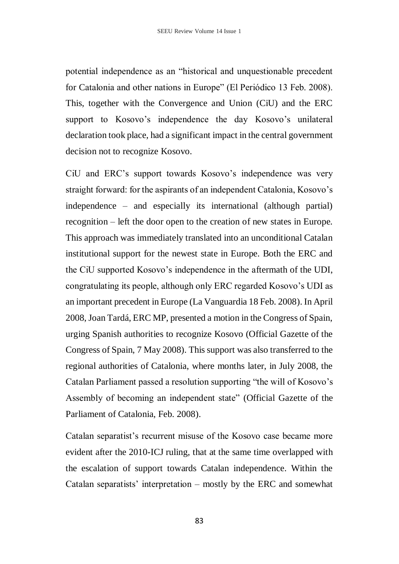potential independence as an "historical and unquestionable precedent for Catalonia and other nations in Europe" (El Periódico 13 Feb. 2008). This, together with the Convergence and Union (CiU) and the ERC support to Kosovo's independence the day Kosovo's unilateral declaration took place, had a significant impact in the central government decision not to recognize Kosovo.

CiU and ERC's support towards Kosovo's independence was very straight forward: for the aspirants of an independent Catalonia, Kosovo's independence – and especially its international (although partial) recognition – left the door open to the creation of new states in Europe. This approach was immediately translated into an unconditional Catalan institutional support for the newest state in Europe. Both the ERC and the CiU supported Kosovo's independence in the aftermath of the UDI, congratulating its people, although only ERC regarded Kosovo's UDI as an important precedent in Europe (La Vanguardia 18 Feb. 2008). In April 2008, Joan Tardá, ERC MP, presented a motion in the Congress of Spain, urging Spanish authorities to recognize Kosovo (Official Gazette of the Congress of Spain, 7 May 2008). This support was also transferred to the regional authorities of Catalonia, where months later, in July 2008, the Catalan Parliament passed a resolution supporting "the will of Kosovo's Assembly of becoming an independent state" (Official Gazette of the Parliament of Catalonia, Feb. 2008).

Catalan separatist's recurrent misuse of the Kosovo case became more evident after the 2010-ICJ ruling, that at the same time overlapped with the escalation of support towards Catalan independence. Within the Catalan separatists' interpretation – mostly by the ERC and somewhat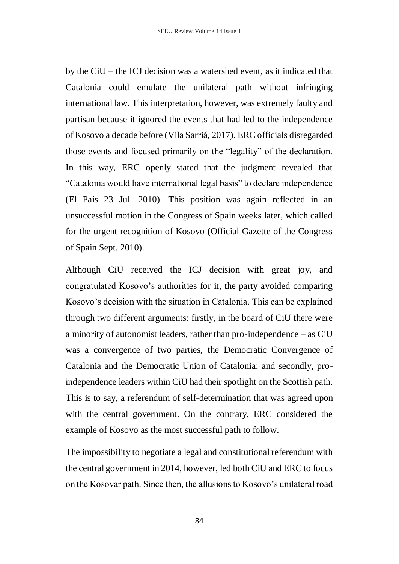by the CiU – the ICJ decision was a watershed event, as it indicated that Catalonia could emulate the unilateral path without infringing international law. This interpretation, however, was extremely faulty and partisan because it ignored the events that had led to the independence of Kosovo a decade before (Vila Sarriá, 2017). ERC officials disregarded those events and focused primarily on the "legality" of the declaration. In this way, ERC openly stated that the judgment revealed that "Catalonia would have international legal basis" to declare independence (El País 23 Jul. 2010). This position was again reflected in an unsuccessful motion in the Congress of Spain weeks later, which called for the urgent recognition of Kosovo (Official Gazette of the Congress of Spain Sept. 2010).

Although CiU received the ICJ decision with great joy, and congratulated Kosovo's authorities for it, the party avoided comparing Kosovo's decision with the situation in Catalonia. This can be explained through two different arguments: firstly, in the board of CiU there were a minority of autonomist leaders, rather than pro-independence – as CiU was a convergence of two parties, the Democratic Convergence of Catalonia and the Democratic Union of Catalonia; and secondly, proindependence leaders within CiU had their spotlight on the Scottish path. This is to say, a referendum of self-determination that was agreed upon with the central government. On the contrary, ERC considered the example of Kosovo as the most successful path to follow.

The impossibility to negotiate a legal and constitutional referendum with the central government in 2014, however, led both CiU and ERC to focus on the Kosovar path. Since then, the allusions to Kosovo's unilateral road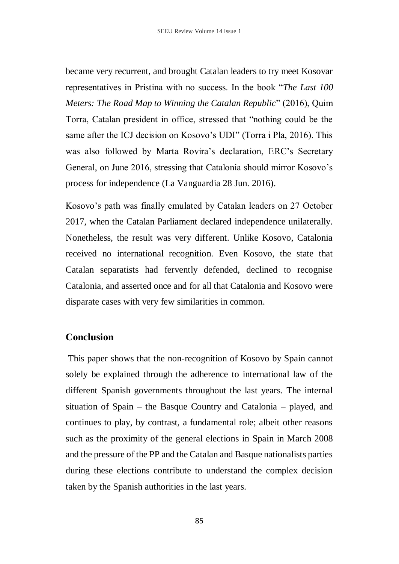became very recurrent, and brought Catalan leaders to try meet Kosovar representatives in Pristina with no success. In the book "*The Last 100 Meters: The Road Map to Winning the Catalan Republic*" (2016), Quim Torra, Catalan president in office, stressed that "nothing could be the same after the ICJ decision on Kosovo's UDI" (Torra i Pla, 2016). This was also followed by Marta Rovira's declaration, ERC's Secretary General, on June 2016, stressing that Catalonia should mirror Kosovo's process for independence (La Vanguardia 28 Jun. 2016).

Kosovo's path was finally emulated by Catalan leaders on 27 October 2017, when the Catalan Parliament declared independence unilaterally. Nonetheless, the result was very different. Unlike Kosovo, Catalonia received no international recognition. Even Kosovo, the state that Catalan separatists had fervently defended, declined to recognise Catalonia, and asserted once and for all that Catalonia and Kosovo were disparate cases with very few similarities in common.

#### **Conclusion**

This paper shows that the non-recognition of Kosovo by Spain cannot solely be explained through the adherence to international law of the different Spanish governments throughout the last years. The internal situation of Spain – the Basque Country and Catalonia – played, and continues to play, by contrast, a fundamental role; albeit other reasons such as the proximity of the general elections in Spain in March 2008 and the pressure of the PP and the Catalan and Basque nationalists parties during these elections contribute to understand the complex decision taken by the Spanish authorities in the last years.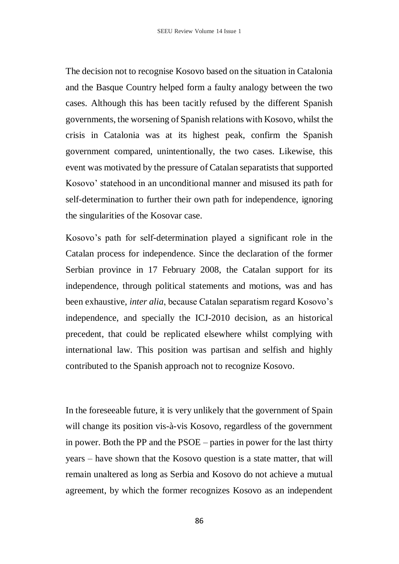The decision not to recognise Kosovo based on the situation in Catalonia and the Basque Country helped form a faulty analogy between the two cases. Although this has been tacitly refused by the different Spanish governments, the worsening of Spanish relations with Kosovo, whilst the crisis in Catalonia was at its highest peak, confirm the Spanish government compared, unintentionally, the two cases. Likewise, this event was motivated by the pressure of Catalan separatists that supported Kosovo' statehood in an unconditional manner and misused its path for self-determination to further their own path for independence, ignoring the singularities of the Kosovar case.

Kosovo's path for self-determination played a significant role in the Catalan process for independence. Since the declaration of the former Serbian province in 17 February 2008, the Catalan support for its independence, through political statements and motions, was and has been exhaustive, *inter alia*, because Catalan separatism regard Kosovo's independence, and specially the ICJ-2010 decision, as an historical precedent, that could be replicated elsewhere whilst complying with international law. This position was partisan and selfish and highly contributed to the Spanish approach not to recognize Kosovo.

In the foreseeable future, it is very unlikely that the government of Spain will change its position vis-à-vis Kosovo, regardless of the government in power. Both the PP and the PSOE – parties in power for the last thirty years – have shown that the Kosovo question is a state matter, that will remain unaltered as long as Serbia and Kosovo do not achieve a mutual agreement, by which the former recognizes Kosovo as an independent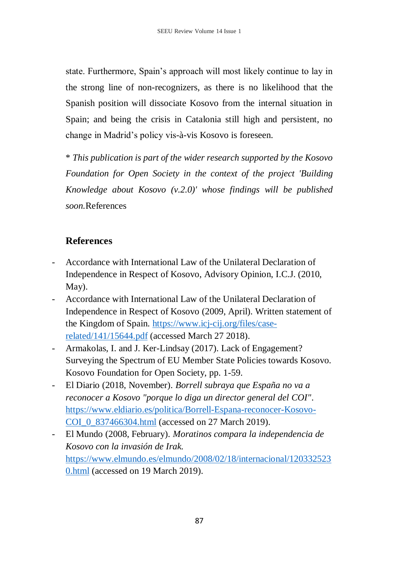state. Furthermore, Spain's approach will most likely continue to lay in the strong line of non-recognizers, as there is no likelihood that the Spanish position will dissociate Kosovo from the internal situation in Spain; and being the crisis in Catalonia still high and persistent, no change in Madrid's policy vis-à-vis Kosovo is foreseen.

\* *This publication is part of the wider research supported by the Kosovo Foundation for Open Society in the context of the project 'Building Knowledge about Kosovo (v.2.0)' whose findings will be published soon.*References

## **References**

- Accordance with International Law of the Unilateral Declaration of Independence in Respect of Kosovo, Advisory Opinion, I.C.J. (2010, May).
- Accordance with International Law of the Unilateral Declaration of Independence in Respect of Kosovo (2009, April). Written statement of the Kingdom of Spain. [https://www.icj-cij.org/files/case](https://www.icj-cij.org/files/case-related/141/15644.pdf)[related/141/15644.pdf](https://www.icj-cij.org/files/case-related/141/15644.pdf) (accessed March 27 2018).
- Armakolas, I. and J. Ker-Lindsay (2017). Lack of Engagement? Surveying the Spectrum of EU Member State Policies towards Kosovo. Kosovo Foundation for Open Society, pp. 1-59.
- El Diario (2018, November). *Borrell subraya que España no va a reconocer a Kosovo "porque lo diga un director general del COI"*. [https://www.eldiario.es/politica/Borrell-Espana-reconocer-Kosovo-](https://www.eldiario.es/politica/Borrell-Espana-reconocer-Kosovo-COI_0_837466304.html)COI 0 837466304.html (accessed on 27 March 2019).
- El Mundo (2008, February). *Moratinos compara la independencia de Kosovo con la invasión de Irak.*  [https://www.elmundo.es/elmundo/2008/02/18/internacional/120332523](https://www.elmundo.es/elmundo/2008/02/18/internacional/1203325230.html) [0.html](https://www.elmundo.es/elmundo/2008/02/18/internacional/1203325230.html) (accessed on 19 March 2019).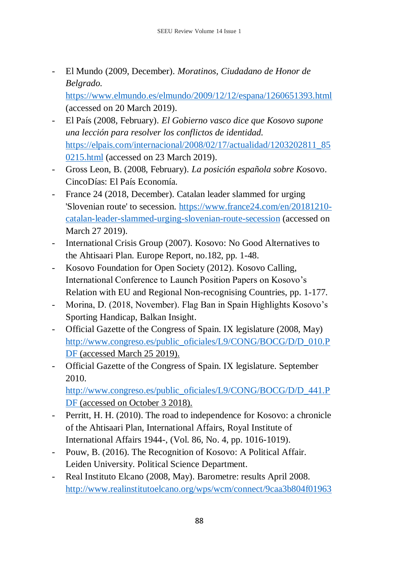- El Mundo (2009, December). *Moratinos, Ciudadano de Honor de Belgrado.* 

<https://www.elmundo.es/elmundo/2009/12/12/espana/1260651393.html> (accessed on 20 March 2019).

- El País (2008, February). *El Gobierno vasco dice que Kosovo supone una lección para resolver los conflictos de identidad.* [https://elpais.com/internacional/2008/02/17/actualidad/1203202811\\_85](https://elpais.com/internacional/2008/02/17/actualidad/1203202811_850215.html) [0215.html](https://elpais.com/internacional/2008/02/17/actualidad/1203202811_850215.html) (accessed on 23 March 2019).
- Gross Leon, B. (2008, February). *La posición española sobre Ko*sovo. CincoDías: El País Economía*.*
- France 24 (2018, December). Catalan leader slammed for urging 'Slovenian route' to secession. [https://www.france24.com/en/20181210](https://www.france24.com/en/20181210-catalan-leader-slammed-urging-slovenian-route-secession) [catalan-leader-slammed-urging-slovenian-route-secession](https://www.france24.com/en/20181210-catalan-leader-slammed-urging-slovenian-route-secession) (accessed on March 27 2019).
- International Crisis Group (2007). Kosovo: No Good Alternatives to the Ahtisaari Plan. Europe Report, no.182, pp. 1-48.
- Kosovo Foundation for Open Society (2012). Kosovo Calling, International Conference to Launch Position Papers on Kosovo's Relation with EU and Regional Non-recognising Countries, pp. 1-177.
- Morina, D. (2018, November). Flag Ban in Spain Highlights Kosovo's Sporting Handicap, Balkan Insight.
- Official Gazette of the Congress of Spain. IX legislature (2008, May) [http://www.congreso.es/public\\_oficiales/L9/CONG/BOCG/D/D\\_010.P](http://www.congreso.es/public_oficiales/L9/CONG/BOCG/D/D_010.PDF)\_ [DF](http://www.congreso.es/public_oficiales/L9/CONG/BOCG/D/D_010.PDF) (accessed March 25 2019).
- Official Gazette of the Congress of Spain. IX legislature. September 2010.

[http://www.congreso.es/public\\_oficiales/L9/CONG/BOCG/D/D\\_441.P](http://www.congreso.es/public_oficiales/L9/CONG/BOCG/D/D_441.PDF)\_ [DF](http://www.congreso.es/public_oficiales/L9/CONG/BOCG/D/D_441.PDF) (accessed on October 3 2018).

- Perritt, H. H. (2010). The road to independence for Kosovo: a chronicle of the Ahtisaari Plan, International Affairs, Royal Institute of International Affairs 1944-, (Vol. 86, No. 4, pp. 1016-1019).
- Pouw, B. (2016). The Recognition of Kosovo: A Political Affair. Leiden University. Political Science Department.
- Real Instituto Elcano (2008, May). Barometre: results April 2008. [http://www.realinstitutoelcano.org/wps/wcm/connect/9caa3b804f01963](http://www.realinstitutoelcano.org/wps/wcm/connect/9caa3b804f0196348cd6ec3170baead1/17BRIE_Informe_Completo.pdf?MOD=AJPERES&CACHEID=9caa3b804f0196348cd6ec3170baead1)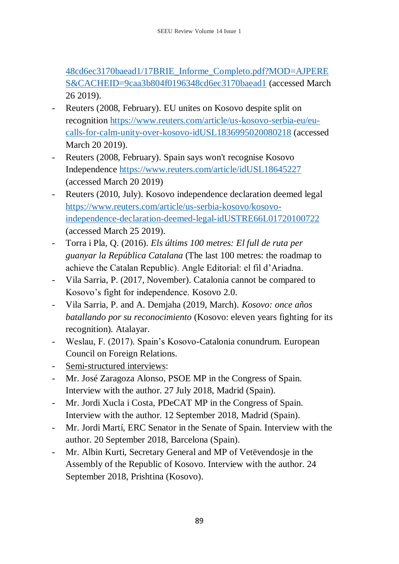[48cd6ec3170baead1/17BRIE\\_Informe\\_Completo.pdf?MOD=AJPERE](http://www.realinstitutoelcano.org/wps/wcm/connect/9caa3b804f0196348cd6ec3170baead1/17BRIE_Informe_Completo.pdf?MOD=AJPERES&CACHEID=9caa3b804f0196348cd6ec3170baead1) [S&CACHEID=9caa3b804f0196348cd6ec3170baead1](http://www.realinstitutoelcano.org/wps/wcm/connect/9caa3b804f0196348cd6ec3170baead1/17BRIE_Informe_Completo.pdf?MOD=AJPERES&CACHEID=9caa3b804f0196348cd6ec3170baead1) (accessed March 26 2019).

- Reuters (2008, February). EU unites on Kosovo despite split on recognition [https://www.reuters.com/article/us-kosovo-serbia-eu/eu](https://www.reuters.com/article/us-kosovo-serbia-eu/eu-calls-for-calm-unity-over-kosovo-idUSL1836995020080218)[calls-for-calm-unity-over-kosovo-idUSL1836995020080218](https://www.reuters.com/article/us-kosovo-serbia-eu/eu-calls-for-calm-unity-over-kosovo-idUSL1836995020080218) (accessed March 20 2019).
- Reuters (2008, February). Spain says won't recognise Kosovo Independence<https://www.reuters.com/article/idUSL18645227> (accessed March 20 2019)
- Reuters (2010, July). Kosovo independence declaration deemed legal [https://www.reuters.com/article/us-serbia-kosovo/kosovo](https://www.reuters.com/article/us-serbia-kosovo/kosovo-independence-declaration-deemed-legal-idUSTRE66L01720100722)[independence-declaration-deemed-legal-idUSTRE66L01720100722](https://www.reuters.com/article/us-serbia-kosovo/kosovo-independence-declaration-deemed-legal-idUSTRE66L01720100722) (accessed March 25 2019).
- Torra i Pla, Q. (2016). *Els últims 100 metres: El full de ruta per guanyar la República Catalana* (The last 100 metres: the roadmap to achieve the Catalan Republic). Angle Editorial: el fil d'Ariadna.
- Vila Sarria, P. (2017, November). Catalonia cannot be compared to Kosovo's fight for independence. Kosovo 2.0.
- Vila Sarria, P. and A. Demjaha (2019, March). *Kosovo: once años batallando por su reconocimiento* (Kosovo: eleven years fighting for its recognition)*.* Atalayar.
- Weslau, F. (2017). Spain's Kosovo-Catalonia conundrum. European Council on Foreign Relations.
- Semi-structured interviews:
- Mr. José Zaragoza Alonso, PSOE MP in the Congress of Spain. Interview with the author. 27 July 2018, Madrid (Spain).
- Mr. Jordi Xucla i Costa, PDeCAT MP in the Congress of Spain. Interview with the author. 12 September 2018, Madrid (Spain).
- Mr. Jordi Martí, ERC Senator in the Senate of Spain. Interview with the author. 20 September 2018, Barcelona (Spain).
- Mr. Albin Kurti, Secretary General and MP of Vetëvendosje in the Assembly of the Republic of Kosovo. Interview with the author. 24 September 2018, Prishtina (Kosovo).